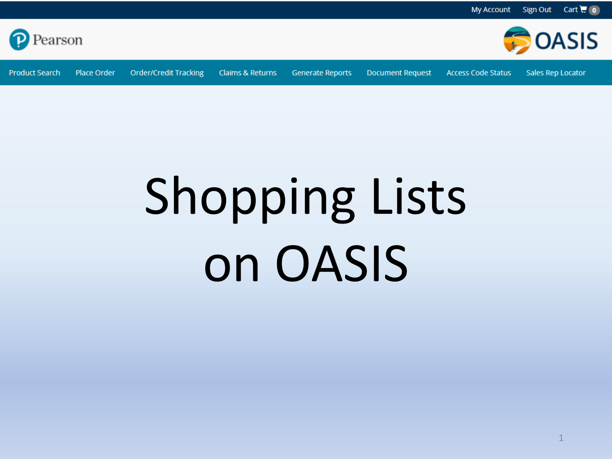

**Product Search** Place Order **Order/Credit Tracking** 

**Claims & Returns** 

**Generate Reports** 

**Document Request** 

**Access Code Status** 

**Sales Rep Locator** 

**BOASIS** 

## **Shopping Lists** on OASIS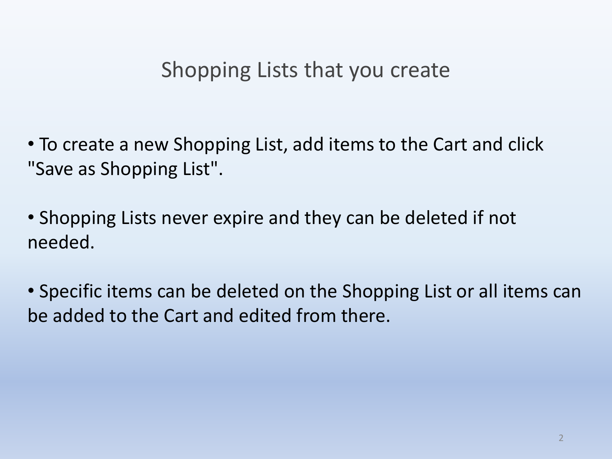#### Shopping Lists that you create

• To create a new Shopping List, add items to the Cart and click "Save as Shopping List".

• Shopping Lists never expire and they can be deleted if not needed.

• Specific items can be deleted on the Shopping List or all items can be added to the Cart and edited from there.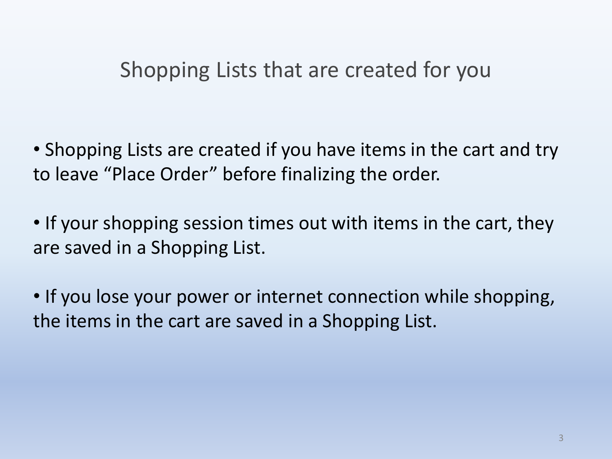#### Shopping Lists that are created for you

• Shopping Lists are created if you have items in the cart and try to leave "Place Order" before finalizing the order.

• If your shopping session times out with items in the cart, they are saved in a Shopping List.

• If you lose your power or internet connection while shopping, the items in the cart are saved in a Shopping List.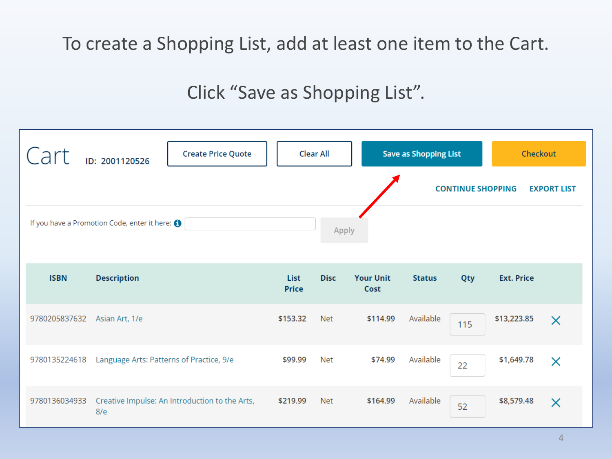#### To create a Shopping List, add at least one item to the Cart.

#### Click "Save as Shopping List".

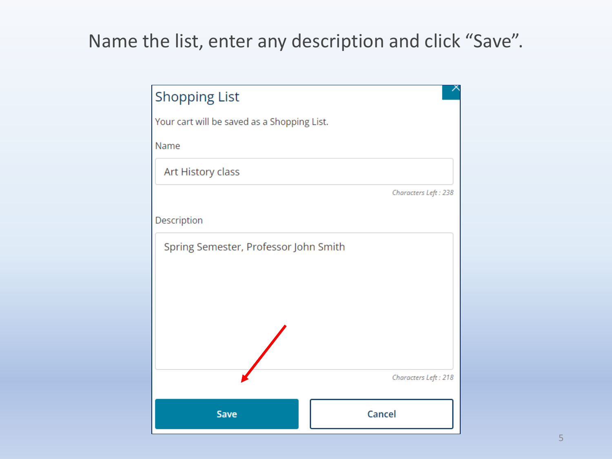#### Name the list, enter any description and click "Save".

| <b>Shopping List</b>                        |                      |
|---------------------------------------------|----------------------|
| Your cart will be saved as a Shopping List. |                      |
| Name                                        |                      |
| Art History class                           |                      |
|                                             | Characters Left: 238 |
| Description                                 |                      |
| Spring Semester, Professor John Smith       |                      |
|                                             | Characters Left: 218 |
| Save                                        | Cancel               |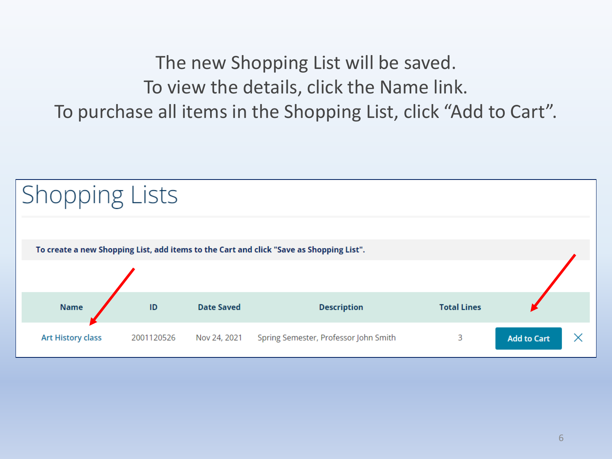The new Shopping List will be saved. To view the details, click the Name link. To purchase all items in the Shopping List, click "Add to Cart".

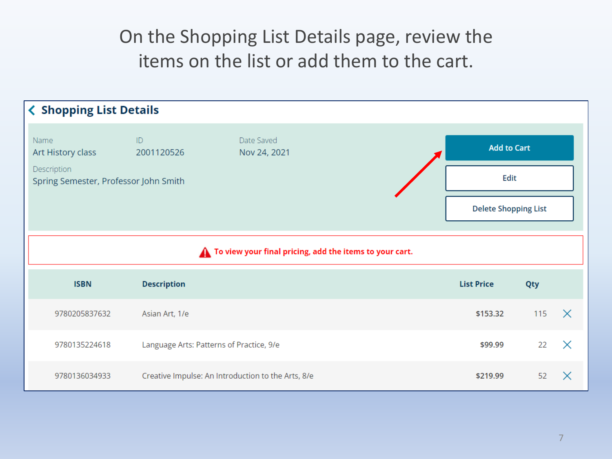On the Shopping List Details page, review the items on the list or add them to the cart.

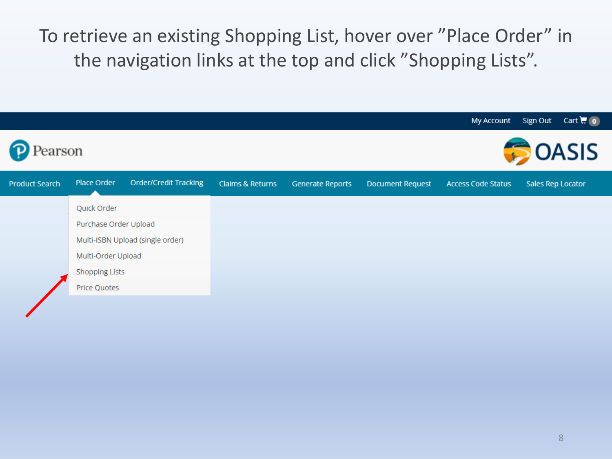To retrieve an existing Shopping List, hover over "Place Order" in the navigation links at the top and click "Shopping Lists".

|                       |                                                                                 |                              |                             |                         |                         | My Account                | Sign Out<br>Cart $\mathbf{C}$ (0) |  |
|-----------------------|---------------------------------------------------------------------------------|------------------------------|-----------------------------|-------------------------|-------------------------|---------------------------|-----------------------------------|--|
| earson                |                                                                                 |                              |                             |                         | <b>OASIS</b>            |                           |                                   |  |
| <b>Product Search</b> | Place Order                                                                     | <b>Order/Credit Tracking</b> | <b>Claims &amp; Returns</b> | <b>Generate Reports</b> | <b>Document Request</b> | <b>Access Code Status</b> | Sales Rep Locator                 |  |
|                       | Quick Order                                                                     |                              |                             |                         |                         |                           |                                   |  |
| Purchase Order Upload |                                                                                 |                              |                             |                         |                         |                           |                                   |  |
|                       | Multi-ISBN Upload (single order)<br>Multi-Order Upload<br><b>Shopping Lists</b> |                              |                             |                         |                         |                           |                                   |  |
|                       |                                                                                 |                              |                             |                         |                         |                           |                                   |  |
|                       |                                                                                 |                              |                             |                         |                         |                           |                                   |  |
|                       | Price Quotes                                                                    |                              |                             |                         |                         |                           |                                   |  |
|                       |                                                                                 |                              |                             |                         |                         |                           |                                   |  |
|                       |                                                                                 |                              |                             |                         |                         |                           |                                   |  |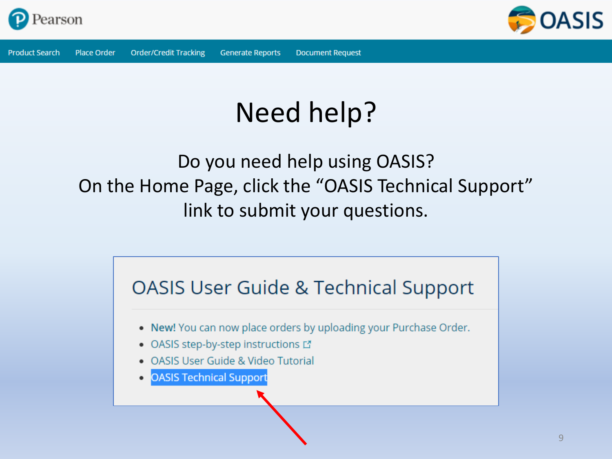



## Need help?

#### Do you need help using OASIS? On the Home Page, click the "OASIS Technical Support" link to submit your questions.

### **OASIS User Guide & Technical Support** . New! You can now place orders by uploading your Purchase Order. • OASIS step-by-step instructions L' • OASIS User Guide & Video Tutorial **OASIS Technical Support**